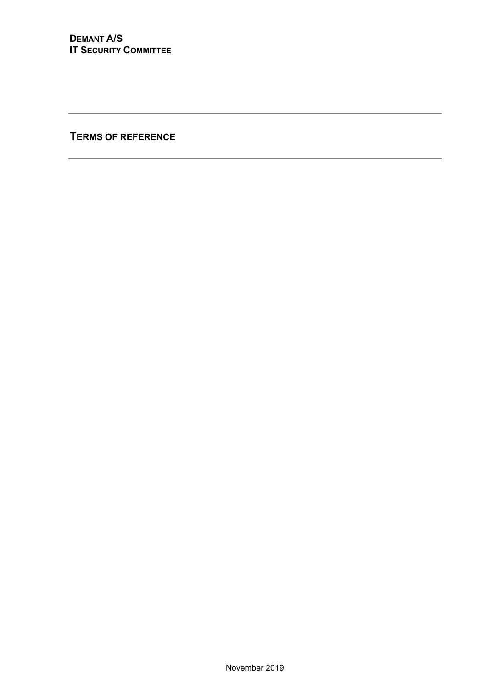**TERMS OF REFERENCE**